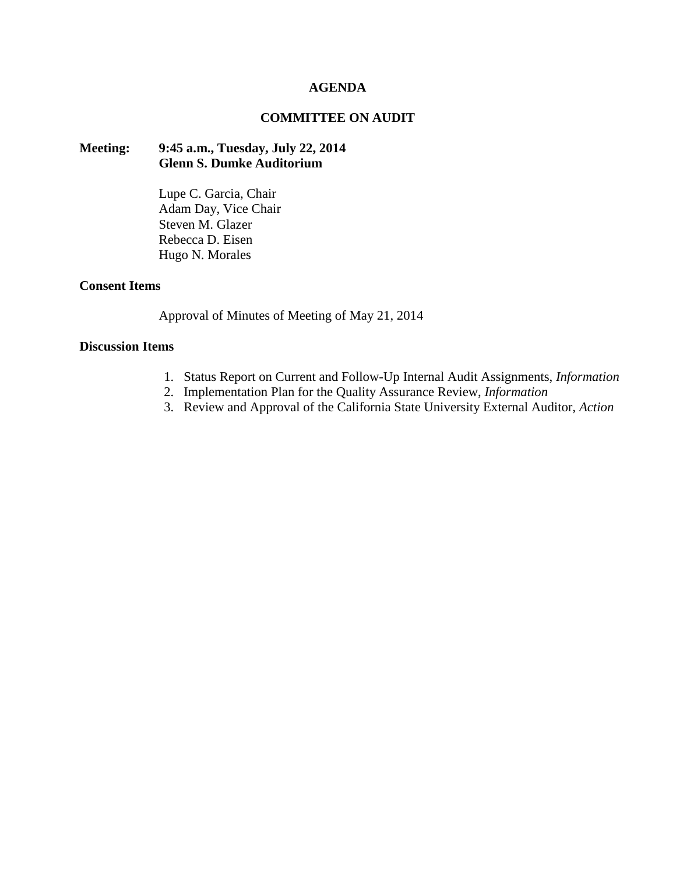#### **AGENDA**

#### **COMMITTEE ON AUDIT**

# **Meeting: 9:45 a.m., Tuesday, July 22, 2014 Glenn S. Dumke Auditorium**

Lupe C. Garcia, Chair Adam Day, Vice Chair Steven M. Glazer Rebecca D. Eisen Hugo N. Morales

#### **Consent Items**

Approval of Minutes of Meeting of May 21, 2014

# **Discussion Items**

- 1. Status Report on Current and Follow-Up Internal Audit Assignments, *Information*
- 2. Implementation Plan for the Quality Assurance Review, *Information*
- 3. Review and Approval of the California State University External Auditor, *Action*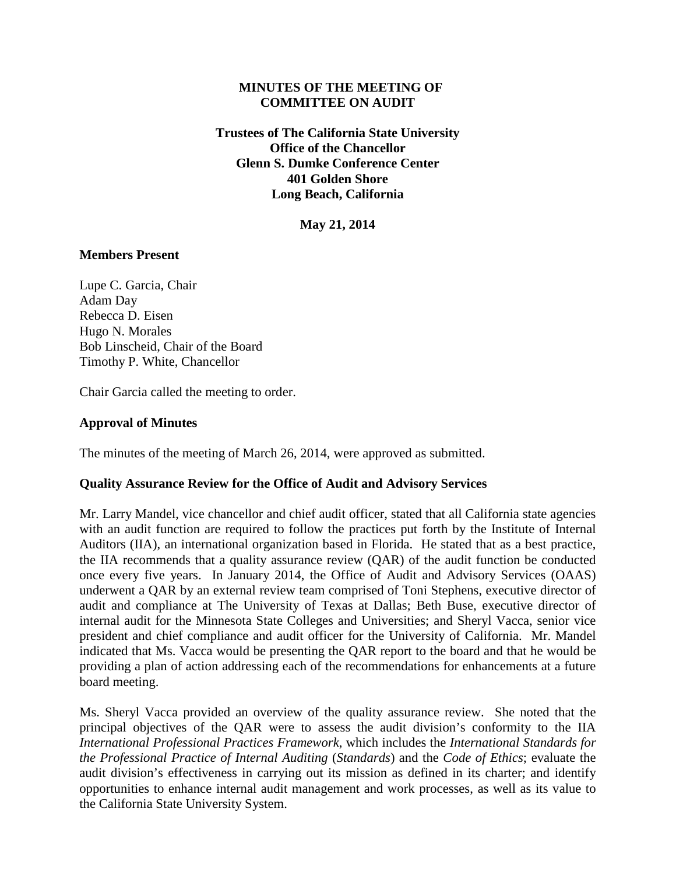# **MINUTES OF THE MEETING OF COMMITTEE ON AUDIT**

**Trustees of The California State University Office of the Chancellor Glenn S. Dumke Conference Center 401 Golden Shore Long Beach, California**

**May 21, 2014**

# **Members Present**

Lupe C. Garcia, Chair Adam Day Rebecca D. Eisen Hugo N. Morales Bob Linscheid, Chair of the Board Timothy P. White, Chancellor

Chair Garcia called the meeting to order.

# **Approval of Minutes**

The minutes of the meeting of March 26, 2014, were approved as submitted.

# **Quality Assurance Review for the Office of Audit and Advisory Services**

Mr. Larry Mandel, vice chancellor and chief audit officer, stated that all California state agencies with an audit function are required to follow the practices put forth by the Institute of Internal Auditors (IIA), an international organization based in Florida. He stated that as a best practice, the IIA recommends that a quality assurance review (QAR) of the audit function be conducted once every five years. In January 2014, the Office of Audit and Advisory Services (OAAS) underwent a QAR by an external review team comprised of Toni Stephens, executive director of audit and compliance at The University of Texas at Dallas; Beth Buse, executive director of internal audit for the Minnesota State Colleges and Universities; and Sheryl Vacca, senior vice president and chief compliance and audit officer for the University of California. Mr. Mandel indicated that Ms. Vacca would be presenting the QAR report to the board and that he would be providing a plan of action addressing each of the recommendations for enhancements at a future board meeting.

Ms. Sheryl Vacca provided an overview of the quality assurance review. She noted that the principal objectives of the QAR were to assess the audit division's conformity to the IIA *International Professional Practices Framework*, which includes the *International Standards for the Professional Practice of Internal Auditing* (*Standards*) and the *Code of Ethics*; evaluate the audit division's effectiveness in carrying out its mission as defined in its charter; and identify opportunities to enhance internal audit management and work processes, as well as its value to the California State University System.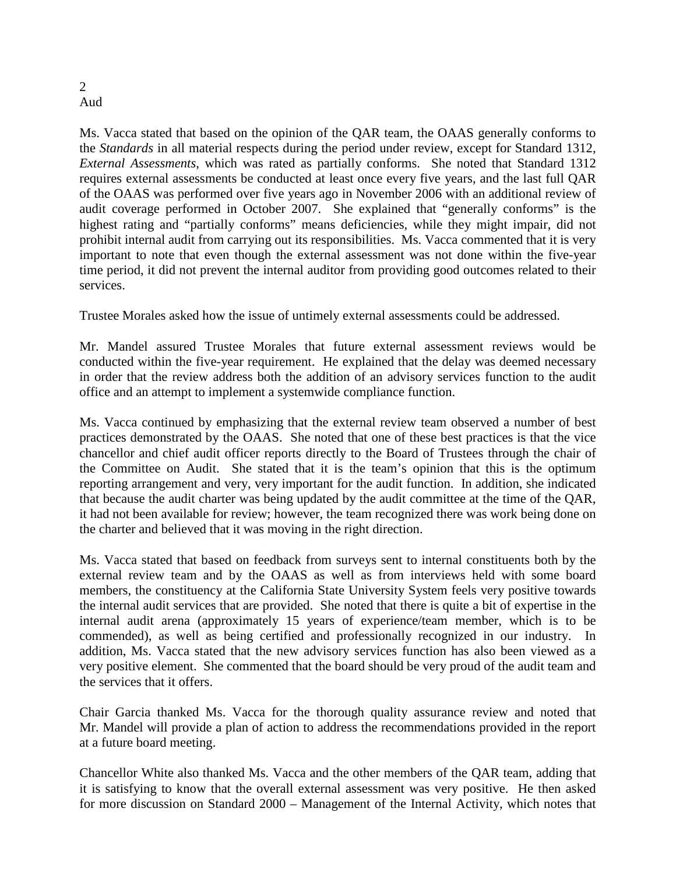#### 2 Aud

Ms. Vacca stated that based on the opinion of the QAR team, the OAAS generally conforms to the *Standards* in all material respects during the period under review, except for Standard 1312, *External Assessments*, which was rated as partially conforms. She noted that Standard 1312 requires external assessments be conducted at least once every five years, and the last full QAR of the OAAS was performed over five years ago in November 2006 with an additional review of audit coverage performed in October 2007. She explained that "generally conforms" is the highest rating and "partially conforms" means deficiencies, while they might impair, did not prohibit internal audit from carrying out its responsibilities. Ms. Vacca commented that it is very important to note that even though the external assessment was not done within the five-year time period, it did not prevent the internal auditor from providing good outcomes related to their services.

Trustee Morales asked how the issue of untimely external assessments could be addressed.

Mr. Mandel assured Trustee Morales that future external assessment reviews would be conducted within the five-year requirement. He explained that the delay was deemed necessary in order that the review address both the addition of an advisory services function to the audit office and an attempt to implement a systemwide compliance function.

Ms. Vacca continued by emphasizing that the external review team observed a number of best practices demonstrated by the OAAS. She noted that one of these best practices is that the vice chancellor and chief audit officer reports directly to the Board of Trustees through the chair of the Committee on Audit. She stated that it is the team's opinion that this is the optimum reporting arrangement and very, very important for the audit function. In addition, she indicated that because the audit charter was being updated by the audit committee at the time of the QAR, it had not been available for review; however, the team recognized there was work being done on the charter and believed that it was moving in the right direction.

Ms. Vacca stated that based on feedback from surveys sent to internal constituents both by the external review team and by the OAAS as well as from interviews held with some board members, the constituency at the California State University System feels very positive towards the internal audit services that are provided. She noted that there is quite a bit of expertise in the internal audit arena (approximately 15 years of experience/team member, which is to be commended), as well as being certified and professionally recognized in our industry. In addition, Ms. Vacca stated that the new advisory services function has also been viewed as a very positive element. She commented that the board should be very proud of the audit team and the services that it offers.

Chair Garcia thanked Ms. Vacca for the thorough quality assurance review and noted that Mr. Mandel will provide a plan of action to address the recommendations provided in the report at a future board meeting.

Chancellor White also thanked Ms. Vacca and the other members of the QAR team, adding that it is satisfying to know that the overall external assessment was very positive. He then asked for more discussion on Standard 2000 – Management of the Internal Activity, which notes that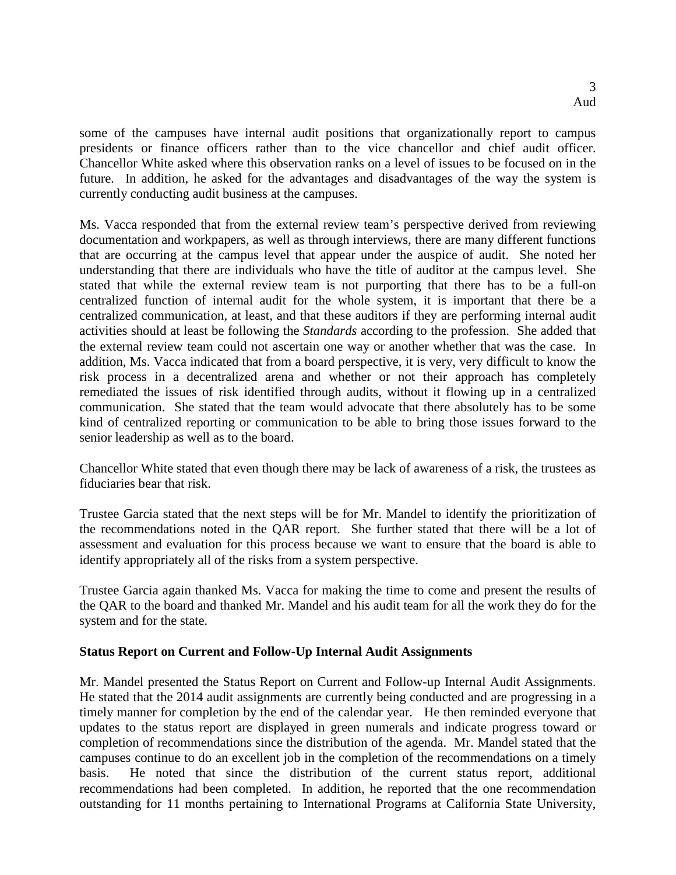some of the campuses have internal audit positions that organizationally report to campus presidents or finance officers rather than to the vice chancellor and chief audit officer. Chancellor White asked where this observation ranks on a level of issues to be focused on in the future. In addition, he asked for the advantages and disadvantages of the way the system is currently conducting audit business at the campuses.

Ms. Vacca responded that from the external review team's perspective derived from reviewing documentation and workpapers, as well as through interviews, there are many different functions that are occurring at the campus level that appear under the auspice of audit. She noted her understanding that there are individuals who have the title of auditor at the campus level. She stated that while the external review team is not purporting that there has to be a full-on centralized function of internal audit for the whole system, it is important that there be a centralized communication, at least, and that these auditors if they are performing internal audit activities should at least be following the *Standards* according to the profession. She added that the external review team could not ascertain one way or another whether that was the case. In addition, Ms. Vacca indicated that from a board perspective, it is very, very difficult to know the risk process in a decentralized arena and whether or not their approach has completely remediated the issues of risk identified through audits, without it flowing up in a centralized communication. She stated that the team would advocate that there absolutely has to be some kind of centralized reporting or communication to be able to bring those issues forward to the senior leadership as well as to the board.

Chancellor White stated that even though there may be lack of awareness of a risk, the trustees as fiduciaries bear that risk.

Trustee Garcia stated that the next steps will be for Mr. Mandel to identify the prioritization of the recommendations noted in the QAR report. She further stated that there will be a lot of assessment and evaluation for this process because we want to ensure that the board is able to identify appropriately all of the risks from a system perspective.

Trustee Garcia again thanked Ms. Vacca for making the time to come and present the results of the QAR to the board and thanked Mr. Mandel and his audit team for all the work they do for the system and for the state.

# **Status Report on Current and Follow-Up Internal Audit Assignments**

Mr. Mandel presented the Status Report on Current and Follow-up Internal Audit Assignments. He stated that the 2014 audit assignments are currently being conducted and are progressing in a timely manner for completion by the end of the calendar year. He then reminded everyone that updates to the status report are displayed in green numerals and indicate progress toward or completion of recommendations since the distribution of the agenda. Mr. Mandel stated that the campuses continue to do an excellent job in the completion of the recommendations on a timely basis. He noted that since the distribution of the current status report, additional recommendations had been completed. In addition, he reported that the one recommendation outstanding for 11 months pertaining to International Programs at California State University,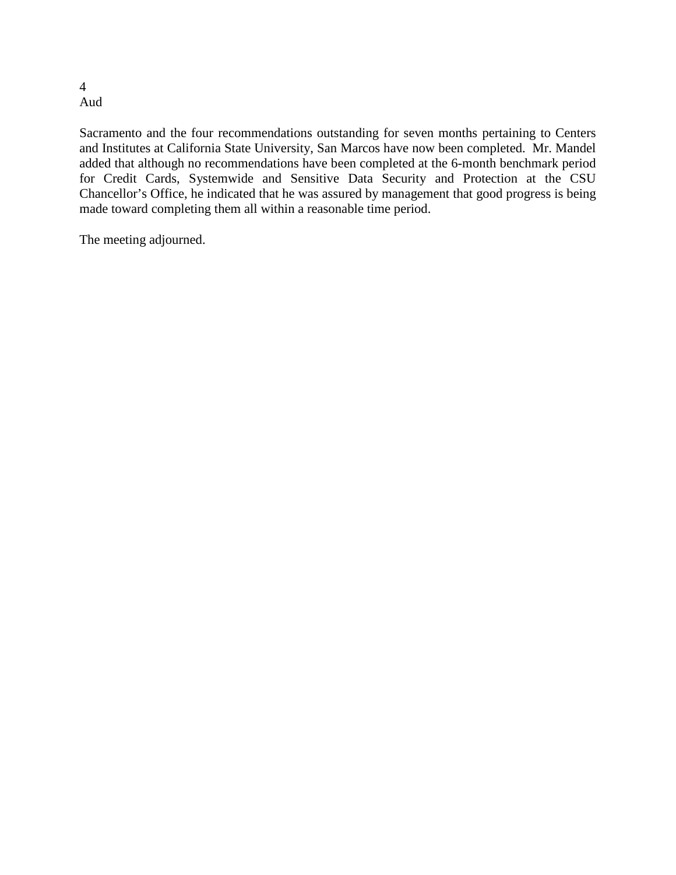#### 4 Aud

Sacramento and the four recommendations outstanding for seven months pertaining to Centers and Institutes at California State University, San Marcos have now been completed. Mr. Mandel added that although no recommendations have been completed at the 6-month benchmark period for Credit Cards, Systemwide and Sensitive Data Security and Protection at the CSU Chancellor's Office, he indicated that he was assured by management that good progress is being made toward completing them all within a reasonable time period.

The meeting adjourned.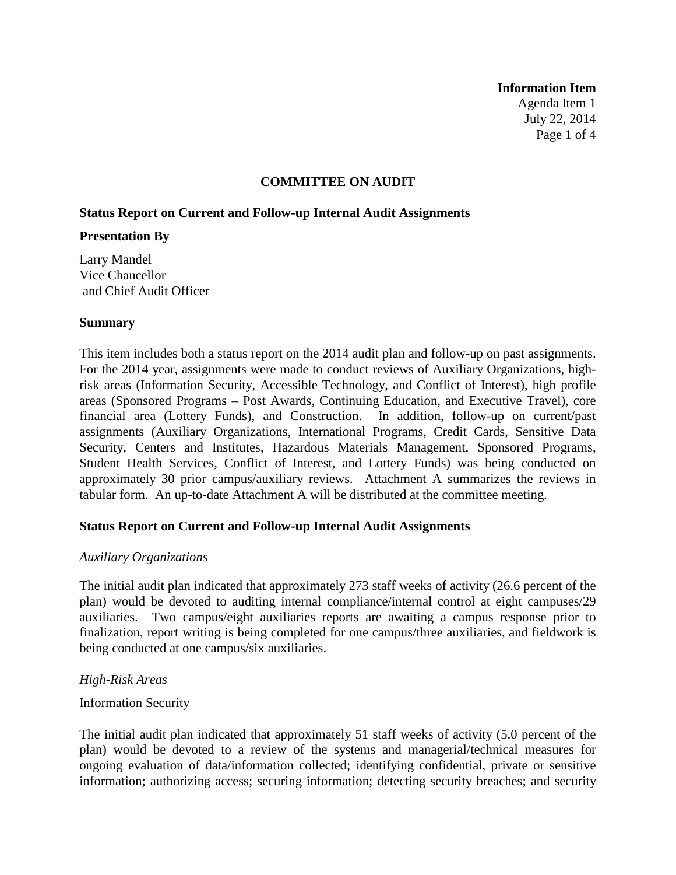#### **Information Item**

Agenda Item 1 July 22, 2014 Page 1 of 4

#### **COMMITTEE ON AUDIT**

#### **Status Report on Current and Follow-up Internal Audit Assignments**

#### **Presentation By**

Larry Mandel Vice Chancellor and Chief Audit Officer

#### **Summary**

This item includes both a status report on the 2014 audit plan and follow-up on past assignments. For the 2014 year, assignments were made to conduct reviews of Auxiliary Organizations, highrisk areas (Information Security, Accessible Technology, and Conflict of Interest), high profile areas (Sponsored Programs – Post Awards, Continuing Education, and Executive Travel), core financial area (Lottery Funds), and Construction. In addition, follow-up on current/past assignments (Auxiliary Organizations, International Programs, Credit Cards, Sensitive Data Security, Centers and Institutes, Hazardous Materials Management, Sponsored Programs, Student Health Services, Conflict of Interest, and Lottery Funds) was being conducted on approximately 30 prior campus/auxiliary reviews. Attachment A summarizes the reviews in tabular form. An up-to-date Attachment A will be distributed at the committee meeting.

# **Status Report on Current and Follow-up Internal Audit Assignments**

#### *Auxiliary Organizations*

The initial audit plan indicated that approximately 273 staff weeks of activity (26.6 percent of the plan) would be devoted to auditing internal compliance/internal control at eight campuses/29 auxiliaries. Two campus/eight auxiliaries reports are awaiting a campus response prior to finalization, report writing is being completed for one campus/three auxiliaries, and fieldwork is being conducted at one campus/six auxiliaries.

# *High-Risk Areas*

#### Information Security

The initial audit plan indicated that approximately 51 staff weeks of activity (5.0 percent of the plan) would be devoted to a review of the systems and managerial/technical measures for ongoing evaluation of data/information collected; identifying confidential, private or sensitive information; authorizing access; securing information; detecting security breaches; and security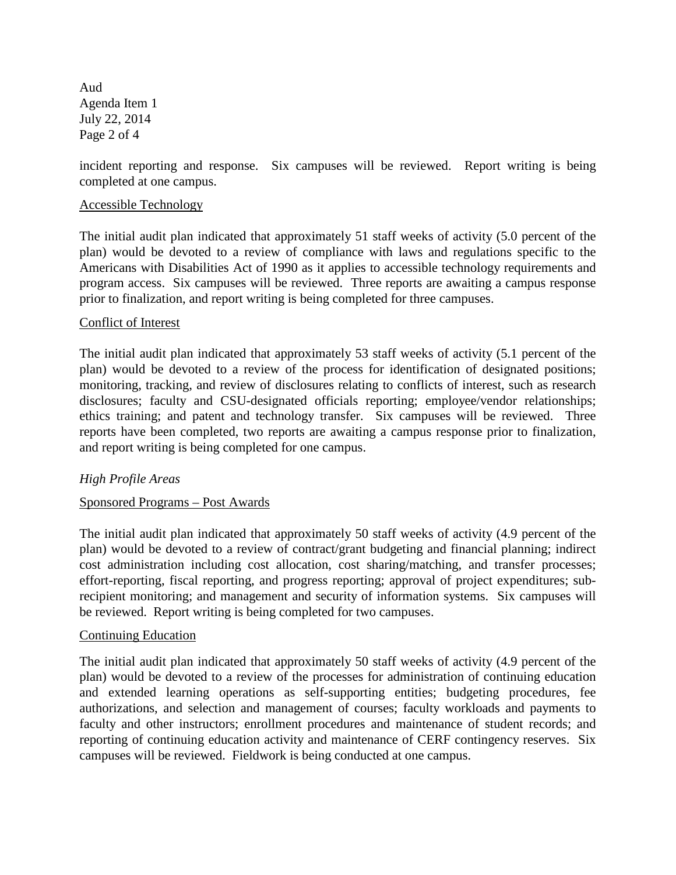Aud Agenda Item 1 July 22, 2014 Page 2 of 4

incident reporting and response. Six campuses will be reviewed. Report writing is being completed at one campus.

#### Accessible Technology

The initial audit plan indicated that approximately 51 staff weeks of activity (5.0 percent of the plan) would be devoted to a review of compliance with laws and regulations specific to the Americans with Disabilities Act of 1990 as it applies to accessible technology requirements and program access. Six campuses will be reviewed. Three reports are awaiting a campus response prior to finalization, and report writing is being completed for three campuses.

# Conflict of Interest

The initial audit plan indicated that approximately 53 staff weeks of activity (5.1 percent of the plan) would be devoted to a review of the process for identification of designated positions; monitoring, tracking, and review of disclosures relating to conflicts of interest, such as research disclosures; faculty and CSU-designated officials reporting; employee/vendor relationships; ethics training; and patent and technology transfer. Six campuses will be reviewed. Three reports have been completed, two reports are awaiting a campus response prior to finalization, and report writing is being completed for one campus.

# *High Profile Areas*

# Sponsored Programs – Post Awards

The initial audit plan indicated that approximately 50 staff weeks of activity (4.9 percent of the plan) would be devoted to a review of contract/grant budgeting and financial planning; indirect cost administration including cost allocation, cost sharing/matching, and transfer processes; effort-reporting, fiscal reporting, and progress reporting; approval of project expenditures; subrecipient monitoring; and management and security of information systems. Six campuses will be reviewed. Report writing is being completed for two campuses.

# Continuing Education

The initial audit plan indicated that approximately 50 staff weeks of activity (4.9 percent of the plan) would be devoted to a review of the processes for administration of continuing education and extended learning operations as self-supporting entities; budgeting procedures, fee authorizations, and selection and management of courses; faculty workloads and payments to faculty and other instructors; enrollment procedures and maintenance of student records; and reporting of continuing education activity and maintenance of CERF contingency reserves. Six campuses will be reviewed. Fieldwork is being conducted at one campus.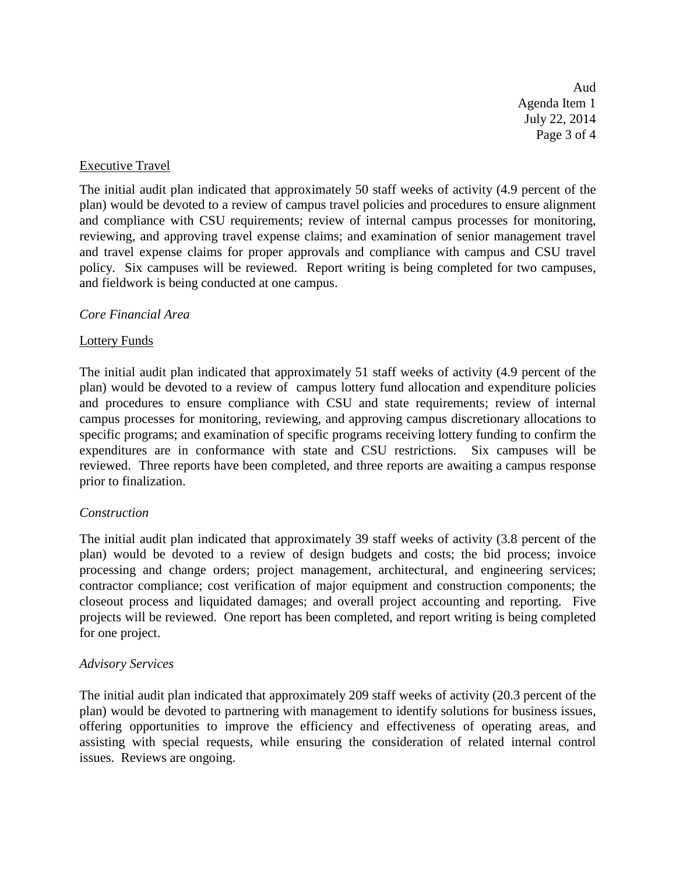Aud Agenda Item 1 July 22, 2014 Page 3 of 4

#### Executive Travel

The initial audit plan indicated that approximately 50 staff weeks of activity (4.9 percent of the plan) would be devoted to a review of campus travel policies and procedures to ensure alignment and compliance with CSU requirements; review of internal campus processes for monitoring, reviewing, and approving travel expense claims; and examination of senior management travel and travel expense claims for proper approvals and compliance with campus and CSU travel policy. Six campuses will be reviewed. Report writing is being completed for two campuses, and fieldwork is being conducted at one campus.

#### *Core Financial Area*

#### Lottery Funds

The initial audit plan indicated that approximately 51 staff weeks of activity (4.9 percent of the plan) would be devoted to a review of campus lottery fund allocation and expenditure policies and procedures to ensure compliance with CSU and state requirements; review of internal campus processes for monitoring, reviewing, and approving campus discretionary allocations to specific programs; and examination of specific programs receiving lottery funding to confirm the expenditures are in conformance with state and CSU restrictions. Six campuses will be reviewed. Three reports have been completed, and three reports are awaiting a campus response prior to finalization.

# *Construction*

The initial audit plan indicated that approximately 39 staff weeks of activity (3.8 percent of the plan) would be devoted to a review of design budgets and costs; the bid process; invoice processing and change orders; project management, architectural, and engineering services; contractor compliance; cost verification of major equipment and construction components; the closeout process and liquidated damages; and overall project accounting and reporting. Five projects will be reviewed. One report has been completed, and report writing is being completed for one project.

# *Advisory Services*

The initial audit plan indicated that approximately 209 staff weeks of activity (20.3 percent of the plan) would be devoted to partnering with management to identify solutions for business issues, offering opportunities to improve the efficiency and effectiveness of operating areas, and assisting with special requests, while ensuring the consideration of related internal control issues. Reviews are ongoing.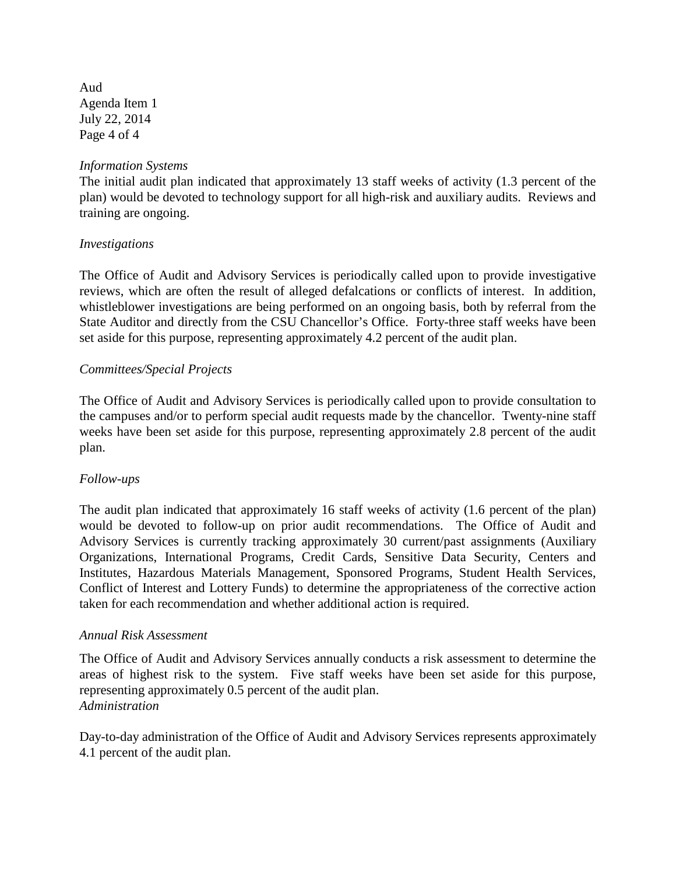Aud Agenda Item 1 July 22, 2014 Page 4 of 4

# *Information Systems*

The initial audit plan indicated that approximately 13 staff weeks of activity (1.3 percent of the plan) would be devoted to technology support for all high-risk and auxiliary audits. Reviews and training are ongoing.

# *Investigations*

The Office of Audit and Advisory Services is periodically called upon to provide investigative reviews, which are often the result of alleged defalcations or conflicts of interest. In addition, whistleblower investigations are being performed on an ongoing basis, both by referral from the State Auditor and directly from the CSU Chancellor's Office. Forty-three staff weeks have been set aside for this purpose, representing approximately 4.2 percent of the audit plan.

#### *Committees/Special Projects*

The Office of Audit and Advisory Services is periodically called upon to provide consultation to the campuses and/or to perform special audit requests made by the chancellor. Twenty-nine staff weeks have been set aside for this purpose, representing approximately 2.8 percent of the audit plan.

# *Follow-ups*

The audit plan indicated that approximately 16 staff weeks of activity (1.6 percent of the plan) would be devoted to follow-up on prior audit recommendations. The Office of Audit and Advisory Services is currently tracking approximately 30 current/past assignments (Auxiliary Organizations, International Programs, Credit Cards, Sensitive Data Security, Centers and Institutes, Hazardous Materials Management, Sponsored Programs, Student Health Services, Conflict of Interest and Lottery Funds) to determine the appropriateness of the corrective action taken for each recommendation and whether additional action is required.

# *Annual Risk Assessment*

The Office of Audit and Advisory Services annually conducts a risk assessment to determine the areas of highest risk to the system. Five staff weeks have been set aside for this purpose, representing approximately 0.5 percent of the audit plan. *Administration*

Day-to-day administration of the Office of Audit and Advisory Services represents approximately 4.1 percent of the audit plan.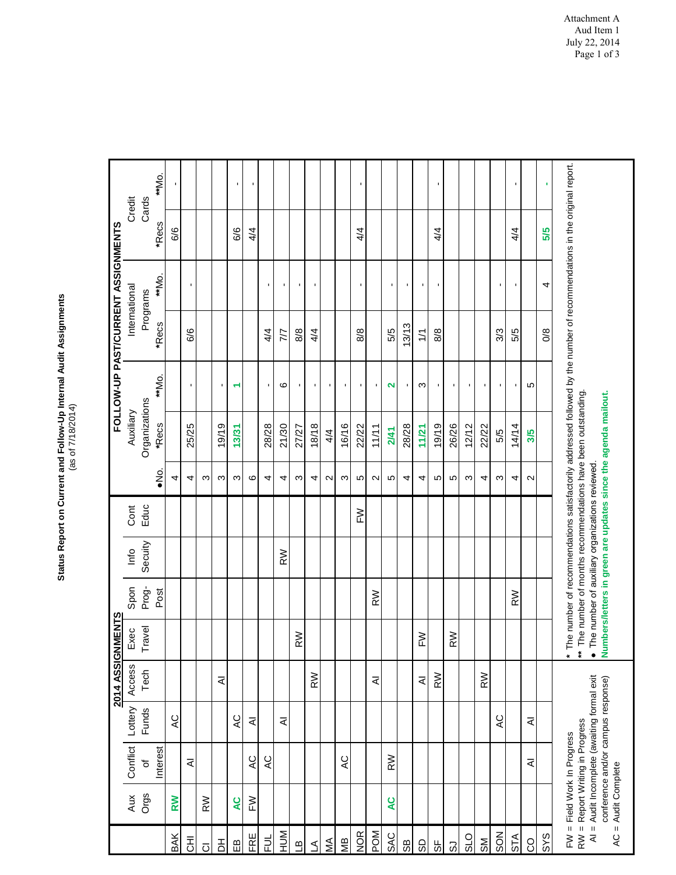# Status Report on Current and Follow-Up Internal Audit Assignments<br>(as of 7/18/2014) **Status Report on Current and Follow-Up Internal Audit Assignments** (as of 7/18/2014)

|                                                      |                |                                                                                                                                           |              | 2014 ASSIGNMENTS |                     |       |                                                 |      |         |                                                                                                                              |                |               | FOLLOW-UP PAST/CURRENT ASSIGNMENTS                                                                                       |       |        |
|------------------------------------------------------|----------------|-------------------------------------------------------------------------------------------------------------------------------------------|--------------|------------------|---------------------|-------|-------------------------------------------------|------|---------|------------------------------------------------------------------------------------------------------------------------------|----------------|---------------|--------------------------------------------------------------------------------------------------------------------------|-------|--------|
|                                                      | Aux            | Conflict                                                                                                                                  | Lottery      | Access           | Exec                | Spon  | Info                                            | Cont |         | Auxiliary                                                                                                                    |                |               | International                                                                                                            |       | Credit |
|                                                      | Orgs           | đ                                                                                                                                         | <b>Funds</b> | Tech             | Travel              | Prog- | Secuity                                         | Educ |         | Organizations                                                                                                                |                |               | Programs                                                                                                                 | Cards |        |
|                                                      |                | Interest                                                                                                                                  |              |                  |                     | Post  |                                                 |      | °≥<br>≥ | *Recs                                                                                                                        | **Mo.          | *Recs         | **Mo.                                                                                                                    | *Recs | **Mo.  |
| BAK                                                  | RW             |                                                                                                                                           | QY           |                  |                     |       |                                                 |      | 4       |                                                                                                                              |                |               |                                                                                                                          | 6/6   |        |
| 동                                                    |                | ₹                                                                                                                                         |              |                  |                     |       |                                                 |      | 4       | 25/25                                                                                                                        | ×              | 6/6           | $\blacksquare$                                                                                                           |       |        |
| $\overline{O}$                                       | RW             |                                                                                                                                           |              |                  |                     |       |                                                 |      | ო       |                                                                                                                              |                |               |                                                                                                                          |       |        |
| 품                                                    |                |                                                                                                                                           |              | ₹                |                     |       |                                                 |      | ო       | 19/19                                                                                                                        | ٠              |               |                                                                                                                          |       |        |
| $\mathop{\mathrm{m}}$                                | œ              |                                                                                                                                           | Q            |                  |                     |       |                                                 |      | ო       | 13/31                                                                                                                        | ↽              |               |                                                                                                                          | 6/6   |        |
| FRE                                                  | $\geq$         | AC                                                                                                                                        | ₹            |                  |                     |       |                                                 |      | ဖ       |                                                                                                                              |                |               |                                                                                                                          | 4/4   | ×,     |
| うこ                                                   |                | $AC$                                                                                                                                      |              |                  |                     |       |                                                 |      | 4       | 28/28                                                                                                                        | ٠              | 4/4           | $\mathbf{I}$                                                                                                             |       |        |
| NUH                                                  |                |                                                                                                                                           | ₹            |                  |                     |       | RW                                              |      | 4       | 21/30                                                                                                                        | ဖ              | 77            | ٠                                                                                                                        |       |        |
| $\mathbf{a}$                                         |                |                                                                                                                                           |              |                  | RW                  |       |                                                 |      | ო       | 27/27                                                                                                                        | ٠              | 8/8           | ٠                                                                                                                        |       |        |
| $\triangleleft$                                      |                |                                                                                                                                           |              | RW               |                     |       |                                                 |      | 4       | 18/18                                                                                                                        | п.             | 4/4           | $\mathbf{I}$                                                                                                             |       |        |
| ŃМ                                                   |                |                                                                                                                                           |              |                  |                     |       |                                                 |      | $\sim$  | 4/4                                                                                                                          | $\mathbf{I}$   |               |                                                                                                                          |       |        |
| ЯM                                                   |                | Q                                                                                                                                         |              |                  |                     |       |                                                 |      | ო       | 16/16                                                                                                                        | $\blacksquare$ |               |                                                                                                                          |       |        |
| <b>NOR</b>                                           |                |                                                                                                                                           |              |                  |                     |       |                                                 | M    | 5       | 22/22                                                                                                                        | ٠              | 8/8           | $\blacksquare$                                                                                                           | 4/4   | J.     |
| POM                                                  |                |                                                                                                                                           |              | ₹                |                     | RW    |                                                 |      | $\sim$  | 11/11                                                                                                                        | ٠              |               |                                                                                                                          |       |        |
| <b>SAC</b>                                           | QY             | $\geqslant$                                                                                                                               |              |                  |                     |       |                                                 |      | 5       | 2/41                                                                                                                         | N              | 5/5           | $\blacksquare$                                                                                                           |       |        |
| 8S                                                   |                |                                                                                                                                           |              |                  |                     |       |                                                 |      | 4       | 28/28                                                                                                                        | $\mathbf{I}$   | 13/13         | $\mathbf{I}$                                                                                                             |       |        |
| 9S                                                   |                |                                                                                                                                           |              | ₹                | M                   |       |                                                 |      | 4       | 11/21                                                                                                                        | S              | $\frac{1}{1}$ | $\blacksquare$                                                                                                           |       |        |
| 55                                                   |                |                                                                                                                                           |              | RW               |                     |       |                                                 |      | Ю       | 19/19                                                                                                                        | п.             | 8/8           | $\blacksquare$                                                                                                           | 4/4   | ٠      |
| ය                                                    |                |                                                                                                                                           |              |                  | RW                  |       |                                                 |      | S       | 26/26                                                                                                                        | т.             |               |                                                                                                                          |       |        |
| $rac{1}{10}$                                         |                |                                                                                                                                           |              |                  |                     |       |                                                 |      | ო       | 12/12                                                                                                                        | $\mathbf{I}$   |               |                                                                                                                          |       |        |
| $\frac{8}{2}$                                        |                |                                                                                                                                           |              | RW               |                     |       |                                                 |      | 4       | 22/22                                                                                                                        | ٠              |               |                                                                                                                          |       |        |
| SON                                                  |                |                                                                                                                                           | Q            |                  |                     |       |                                                 |      | ო       | 5/5                                                                                                                          | ٠              | 3/3           | ı,                                                                                                                       |       |        |
| <b>STA</b>                                           |                |                                                                                                                                           |              |                  |                     | RW    |                                                 |      | 4       | 14/14                                                                                                                        |                | 5/5           | ٠                                                                                                                        | 4/4   | п      |
| <b>CO</b>                                            |                | ₹                                                                                                                                         | ₹            |                  |                     |       |                                                 |      | $\sim$  | 3/5                                                                                                                          | <b>LC</b>      |               |                                                                                                                          |       |        |
| SYS                                                  |                |                                                                                                                                           |              |                  |                     |       |                                                 |      |         |                                                                                                                              |                | $\frac{8}{2}$ | 4                                                                                                                        | 5/5   | ٠      |
| $N = 1$<br>$\overline{A}$ = $\overline{A}$<br>$AC =$ | Audit Complete | Audit Incomplete (awaiting formal exit<br>conference and/or campus response)<br>RW = Report Writing in Progress<br>Field Work In Progress |              |                  | ŧ<br>$\bullet$<br>× |       | The number of auxiliary organizations reviewed. |      |         | The number of months recommendations have been outstanding<br>Numbers/letters in green are updates since the agenda mailout. |                |               | The number of recommendations satisfactorily addressed followed by the number of recommendations in the original report. |       |        |

Attachment A Aud Item 1 July 22, 2014 Page 1 of 3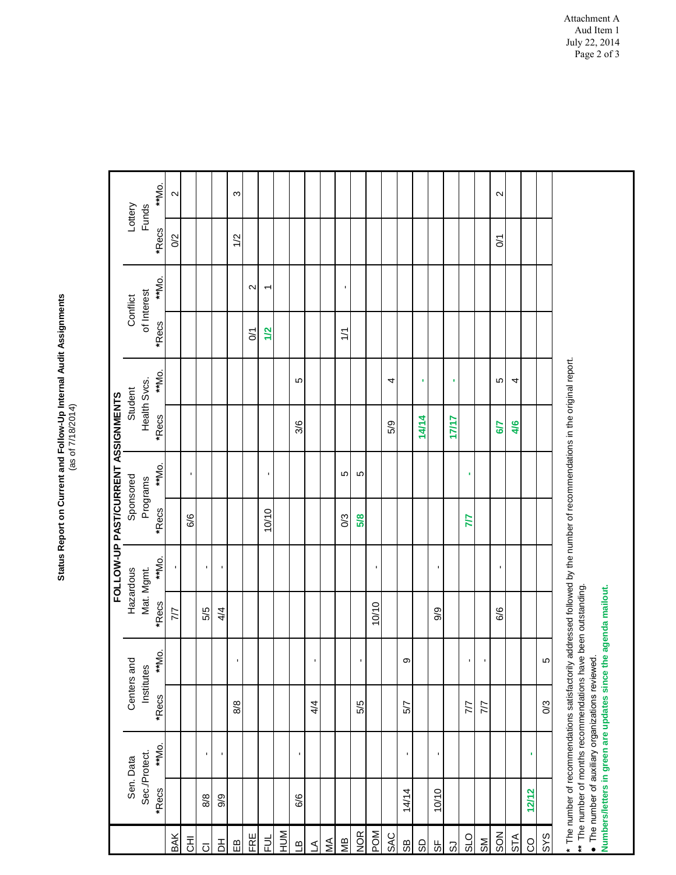# Status Report on Current and Follow-Up Internal Audit Assignments<br>(as of 7/18/2014) **Status Report on Current and Follow-Up Internal Audit Assignments** (as of 7/18/2014)

|                         |                                                                                                                                                                                                                                                                                                   |                |                |             |                     |                | FOLLOW-UP PAST/CURRENT ASSIGNMENTS |          |              |       |             |        |                     |                   |
|-------------------------|---------------------------------------------------------------------------------------------------------------------------------------------------------------------------------------------------------------------------------------------------------------------------------------------------|----------------|----------------|-------------|---------------------|----------------|------------------------------------|----------|--------------|-------|-------------|--------|---------------------|-------------------|
|                         | Sen. Data                                                                                                                                                                                                                                                                                         |                |                | Centers and |                     | Hazardous      | Sponsored                          |          | Student      |       | Conflict    |        | Lottery             |                   |
|                         | Sec./Protect.                                                                                                                                                                                                                                                                                     |                | Institutes     |             |                     | Mat. Mgmt.     |                                    | Programs | Health Svcs. |       | of Interest |        | <b>Funds</b>        |                   |
|                         | *Recs                                                                                                                                                                                                                                                                                             | **Mo.          | *Recs          | **Mo.       | *Recs               | **Mo.          | *Recs                              | **Mo.    | *Recs        | **Mo. | *Recs       | **Mo.  | *Recs               | **Mo.             |
| BAK                     |                                                                                                                                                                                                                                                                                                   |                |                |             | 7/7                 | J.             |                                    |          |              |       |             |        | O <sub>2</sub>      | $\mathbf{\Omega}$ |
| $\overline{z}$          |                                                                                                                                                                                                                                                                                                   |                |                |             |                     |                | 6/6                                | ٠        |              |       |             |        |                     |                   |
| $\overline{O}$          | 8/8                                                                                                                                                                                                                                                                                               |                |                |             | 5/5                 | $\blacksquare$ |                                    |          |              |       |             |        |                     |                   |
| $\overline{\mathsf{b}}$ | 9/9                                                                                                                                                                                                                                                                                               | ı.             |                |             | 4/4                 | $\blacksquare$ |                                    |          |              |       |             |        |                     |                   |
| $\widehat{\mathbb{E}}$  |                                                                                                                                                                                                                                                                                                   |                | 8/8            | 1           |                     |                |                                    |          |              |       |             |        | 1/2                 | S                 |
| FRE                     |                                                                                                                                                                                                                                                                                                   |                |                |             |                     |                |                                    |          |              |       | $\sum$      | $\sim$ |                     |                   |
| 늰                       |                                                                                                                                                                                                                                                                                                   |                |                |             |                     |                | 10/10                              | л        |              |       | 1/2         | ᡪ      |                     |                   |
| NUH                     |                                                                                                                                                                                                                                                                                                   |                |                |             |                     |                |                                    |          |              |       |             |        |                     |                   |
| <u>م</u>                | 6/6                                                                                                                                                                                                                                                                                               | J,             |                |             |                     |                |                                    |          | 3/6          | Ю     |             |        |                     |                   |
| $\Delta$                |                                                                                                                                                                                                                                                                                                   |                | 4/4            |             |                     |                |                                    |          |              |       |             |        |                     |                   |
| ŃМ                      |                                                                                                                                                                                                                                                                                                   |                |                |             |                     |                |                                    |          |              |       |             |        |                     |                   |
| МB                      |                                                                                                                                                                                                                                                                                                   |                |                |             |                     |                | 0/3                                | Ю        |              |       | 1/1         | ٠      |                     |                   |
| <b>NOR</b>              |                                                                                                                                                                                                                                                                                                   |                | 5/5            | ×,          |                     |                | 5/8                                | Ю        |              |       |             |        |                     |                   |
| <b>MOd</b>              |                                                                                                                                                                                                                                                                                                   |                |                |             | 10/10               | ٠              |                                    |          |              |       |             |        |                     |                   |
| <b>SAC</b>              |                                                                                                                                                                                                                                                                                                   |                |                |             |                     |                |                                    |          | 5/9          | 4     |             |        |                     |                   |
| 8S                      | 14/14                                                                                                                                                                                                                                                                                             | $\blacksquare$ | 5/7            | တ           |                     |                |                                    |          |              |       |             |        |                     |                   |
| GS                      |                                                                                                                                                                                                                                                                                                   |                |                |             |                     |                |                                    |          | 14/14        | ٠     |             |        |                     |                   |
| 55                      | 10/10                                                                                                                                                                                                                                                                                             | ı              |                |             | 9/9                 | J.             |                                    |          |              |       |             |        |                     |                   |
| 3                       |                                                                                                                                                                                                                                                                                                   |                |                |             |                     |                |                                    |          | 17/17        | ٠     |             |        |                     |                   |
| <b>OTS</b>              |                                                                                                                                                                                                                                                                                                   |                | 77             |             |                     |                | 77                                 |          |              |       |             |        |                     |                   |
| SM                      |                                                                                                                                                                                                                                                                                                   |                | 77             | ı,          |                     |                |                                    |          |              |       |             |        |                     |                   |
| SON                     |                                                                                                                                                                                                                                                                                                   |                |                |             | 6/6                 | ٠              |                                    |          | 6/7          | Ю     |             |        | $\overline{\delta}$ | $\mathbf{\Omega}$ |
| STA                     |                                                                                                                                                                                                                                                                                                   |                |                |             |                     |                |                                    |          | 4/6          | 4     |             |        |                     |                   |
| <b>CO</b>               | 12/12                                                                                                                                                                                                                                                                                             | ٠              |                |             |                     |                |                                    |          |              |       |             |        |                     |                   |
| SYS                     |                                                                                                                                                                                                                                                                                                   |                | $\mathbb{S}^2$ | Ю           |                     |                |                                    |          |              |       |             |        |                     |                   |
|                         | * The number of recommendations satisfactorily addressed followed by the number of recommendations in the original report.<br>** The number of months recommendations have been outstanding.<br>• The number of auxiliary organizations reviewed.<br>Numbers/letters in green are updates since t |                |                |             | the agenda mailout. |                |                                    |          |              |       |             |        |                     |                   |
|                         |                                                                                                                                                                                                                                                                                                   |                |                |             |                     |                |                                    |          |              |       |             |        |                     |                   |

Attachment A Aud Item 1 July 22, 2014 Page 2 of 3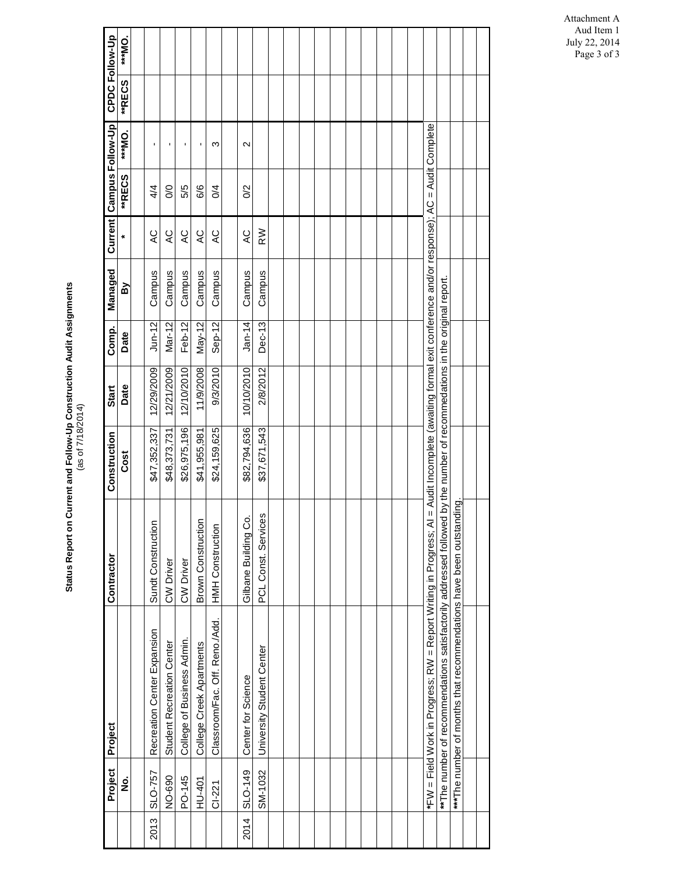|      | Project  | Project                                                                                                                                                     | Contractor                | Construction | Start      | Comp.     | Managed |               | Current Campus Follow-Up |                   | CPDC Follow-Up |         |
|------|----------|-------------------------------------------------------------------------------------------------------------------------------------------------------------|---------------------------|--------------|------------|-----------|---------|---------------|--------------------------|-------------------|----------------|---------|
|      | ġ        |                                                                                                                                                             |                           | Cost         | Date       | Date      | ΣÅ      |               | <b>**RECS</b>            | ***MO.            | <b>**RECS</b>  | *** MO. |
|      |          |                                                                                                                                                             |                           |              |            |           |         |               |                          |                   |                |         |
| 2013 | SLO-757  | Recreation Center Expansion                                                                                                                                 | Sundt Construction        | \$47,352,337 | 12/29/2009 | $J$ un-12 | Campus  | QY            | 4/4                      | J.                |                |         |
|      | NO-690   | Student Recreation Center                                                                                                                                   | CW Driver                 | \$48,373,731 | 12/21/2009 | Mar-12    | Campus  | QY            | So                       | $\blacksquare$    |                |         |
|      | PO-145   | College of Business Admin.                                                                                                                                  | CW Driver                 | \$26,975,196 | 12/10/2010 | Feb-12    | Campus  | QY            | 5/5                      | J.                |                |         |
|      | HU-401   | College Creek Apartments                                                                                                                                    | <b>Brown Construction</b> | \$41,955,981 | 11/9/2008  | May-12    | Campus  | QY            | 8/6                      | J.                |                |         |
|      | $CI-221$ | Classroom/Fac. Off. Reno./Add.                                                                                                                              | <b>HMH Construction</b>   | \$24,159,625 | 9/3/2010   | $Sep-12$  | Campus  | QY            | $\sqrt{4}$               | ო                 |                |         |
|      |          |                                                                                                                                                             |                           |              |            |           |         |               |                          |                   |                |         |
| 2014 | SLO-149  | Center for Science                                                                                                                                          | Gilbane Building Co.      | \$82,794,636 | 10/10/2010 | $Jan-14$  | Campus  | QY            | S                        | $\mathbf{\Omega}$ |                |         |
|      | SM-1032  | University Student Center                                                                                                                                   | PCL Const. Services       | \$37,671,543 | 2/8/2012   | Dec-13    | Campus  | $\frac{8}{3}$ |                          |                   |                |         |
|      |          |                                                                                                                                                             |                           |              |            |           |         |               |                          |                   |                |         |
|      |          |                                                                                                                                                             |                           |              |            |           |         |               |                          |                   |                |         |
|      |          |                                                                                                                                                             |                           |              |            |           |         |               |                          |                   |                |         |
|      |          |                                                                                                                                                             |                           |              |            |           |         |               |                          |                   |                |         |
|      |          |                                                                                                                                                             |                           |              |            |           |         |               |                          |                   |                |         |
|      |          |                                                                                                                                                             |                           |              |            |           |         |               |                          |                   |                |         |
|      |          |                                                                                                                                                             |                           |              |            |           |         |               |                          |                   |                |         |
|      |          |                                                                                                                                                             |                           |              |            |           |         |               |                          |                   |                |         |
|      |          |                                                                                                                                                             |                           |              |            |           |         |               |                          |                   |                |         |
|      |          |                                                                                                                                                             |                           |              |            |           |         |               |                          |                   |                |         |
|      |          | *FW = Field Work in Progress; RW = Report Writing in Progress; AI = Audit Incomplete (awaiting formal exit conference and/or response); AC = Audit Complete |                           |              |            |           |         |               |                          |                   |                |         |
|      |          | **The number of recommendations satisfactorily addressed followed by the number of recommedations in the original report.                                   |                           |              |            |           |         |               |                          |                   |                |         |
|      |          | *** The number of months that recommendations have been outstanding.                                                                                        |                           |              |            |           |         |               |                          |                   |                |         |
|      |          |                                                                                                                                                             |                           |              |            |           |         |               |                          |                   |                |         |
|      |          |                                                                                                                                                             |                           |              |            |           |         |               |                          |                   |                |         |

Attachment A Aud Item 1 July 22, 2014 Page 3 of 3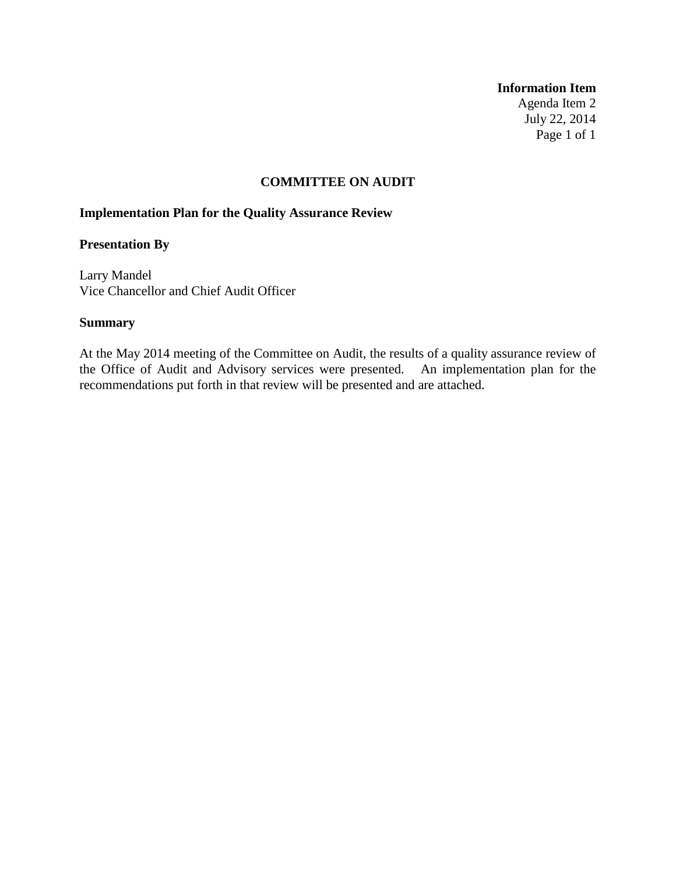#### **Information Item**

Agenda Item 2 July 22, 2014 Page 1 of 1

#### **COMMITTEE ON AUDIT**

# **Implementation Plan for the Quality Assurance Review**

# **Presentation By**

Larry Mandel Vice Chancellor and Chief Audit Officer

#### **Summary**

At the May 2014 meeting of the Committee on Audit, the results of a quality assurance review of the Office of Audit and Advisory services were presented. An implementation plan for the recommendations put forth in that review will be presented and are attached.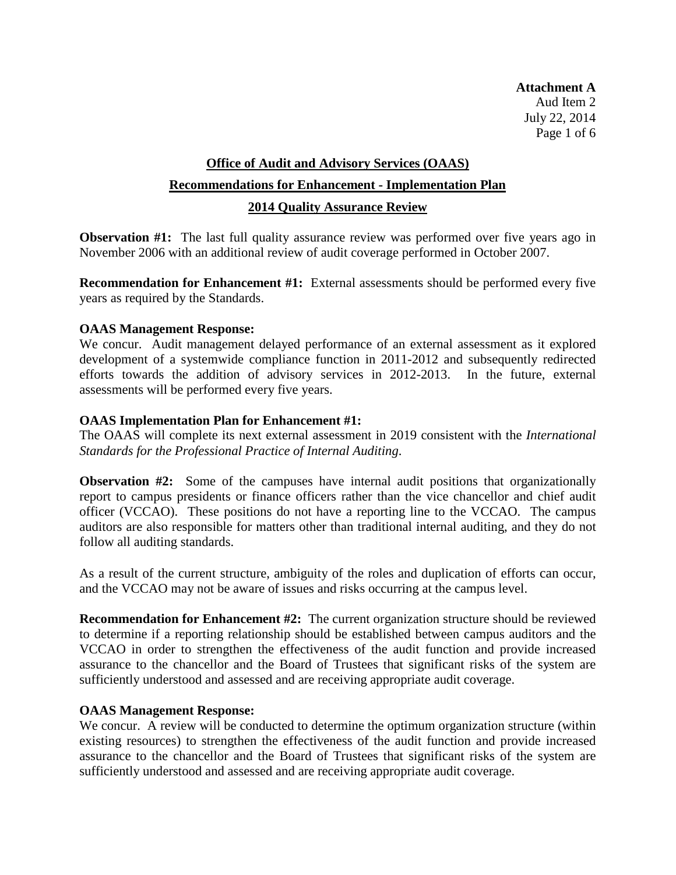**Attachment A** Aud Item 2 July 22, 2014 Page 1 of 6

# **Office of Audit and Advisory Services (OAAS) Recommendations for Enhancement - Implementation Plan 2014 Quality Assurance Review**

**Observation #1:** The last full quality assurance review was performed over five years ago in November 2006 with an additional review of audit coverage performed in October 2007.

**Recommendation for Enhancement #1:** External assessments should be performed every five years as required by the Standards.

# **OAAS Management Response:**

We concur. Audit management delayed performance of an external assessment as it explored development of a systemwide compliance function in 2011-2012 and subsequently redirected efforts towards the addition of advisory services in 2012-2013. In the future, external assessments will be performed every five years.

#### **OAAS Implementation Plan for Enhancement #1:**

The OAAS will complete its next external assessment in 2019 consistent with the *International Standards for the Professional Practice of Internal Auditing*.

**Observation #2:** Some of the campuses have internal audit positions that organizationally report to campus presidents or finance officers rather than the vice chancellor and chief audit officer (VCCAO). These positions do not have a reporting line to the VCCAO. The campus auditors are also responsible for matters other than traditional internal auditing, and they do not follow all auditing standards.

As a result of the current structure, ambiguity of the roles and duplication of efforts can occur, and the VCCAO may not be aware of issues and risks occurring at the campus level.

**Recommendation for Enhancement #2:** The current organization structure should be reviewed to determine if a reporting relationship should be established between campus auditors and the VCCAO in order to strengthen the effectiveness of the audit function and provide increased assurance to the chancellor and the Board of Trustees that significant risks of the system are sufficiently understood and assessed and are receiving appropriate audit coverage.

# **OAAS Management Response:**

We concur. A review will be conducted to determine the optimum organization structure (within existing resources) to strengthen the effectiveness of the audit function and provide increased assurance to the chancellor and the Board of Trustees that significant risks of the system are sufficiently understood and assessed and are receiving appropriate audit coverage.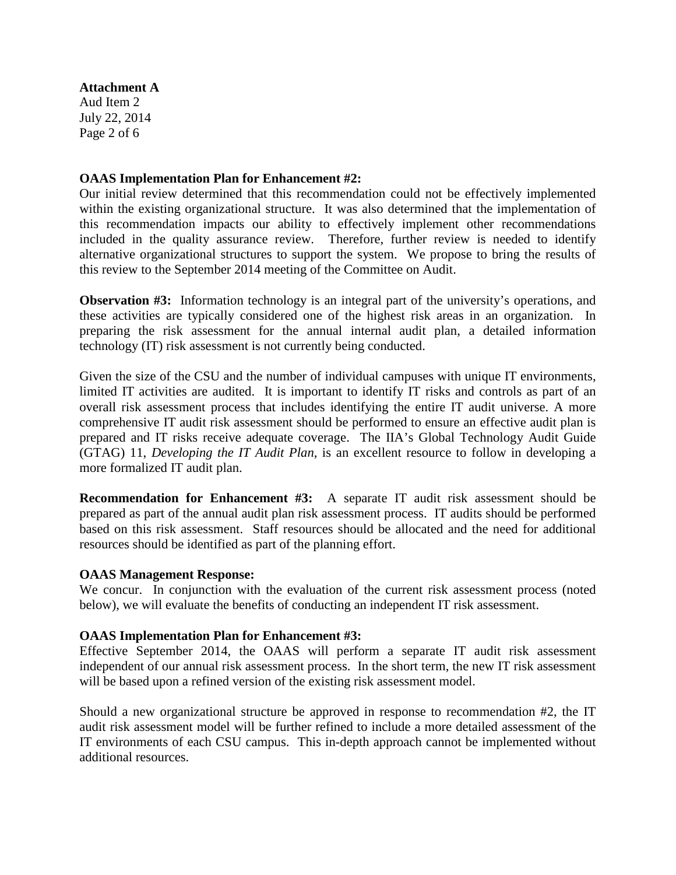#### **Attachment A**

Aud Item 2 July 22, 2014 Page 2 of 6

# **OAAS Implementation Plan for Enhancement #2:**

Our initial review determined that this recommendation could not be effectively implemented within the existing organizational structure. It was also determined that the implementation of this recommendation impacts our ability to effectively implement other recommendations included in the quality assurance review. Therefore, further review is needed to identify alternative organizational structures to support the system. We propose to bring the results of this review to the September 2014 meeting of the Committee on Audit.

**Observation #3:** Information technology is an integral part of the university's operations, and these activities are typically considered one of the highest risk areas in an organization. In preparing the risk assessment for the annual internal audit plan, a detailed information technology (IT) risk assessment is not currently being conducted.

Given the size of the CSU and the number of individual campuses with unique IT environments, limited IT activities are audited. It is important to identify IT risks and controls as part of an overall risk assessment process that includes identifying the entire IT audit universe. A more comprehensive IT audit risk assessment should be performed to ensure an effective audit plan is prepared and IT risks receive adequate coverage. The IIA's Global Technology Audit Guide (GTAG) 11, *Developing the IT Audit Plan*, is an excellent resource to follow in developing a more formalized IT audit plan.

**Recommendation for Enhancement #3:** A separate IT audit risk assessment should be prepared as part of the annual audit plan risk assessment process. IT audits should be performed based on this risk assessment. Staff resources should be allocated and the need for additional resources should be identified as part of the planning effort.

# **OAAS Management Response:**

We concur. In conjunction with the evaluation of the current risk assessment process (noted below), we will evaluate the benefits of conducting an independent IT risk assessment.

# **OAAS Implementation Plan for Enhancement #3:**

Effective September 2014, the OAAS will perform a separate IT audit risk assessment independent of our annual risk assessment process. In the short term, the new IT risk assessment will be based upon a refined version of the existing risk assessment model.

Should a new organizational structure be approved in response to recommendation #2, the IT audit risk assessment model will be further refined to include a more detailed assessment of the IT environments of each CSU campus. This in-depth approach cannot be implemented without additional resources.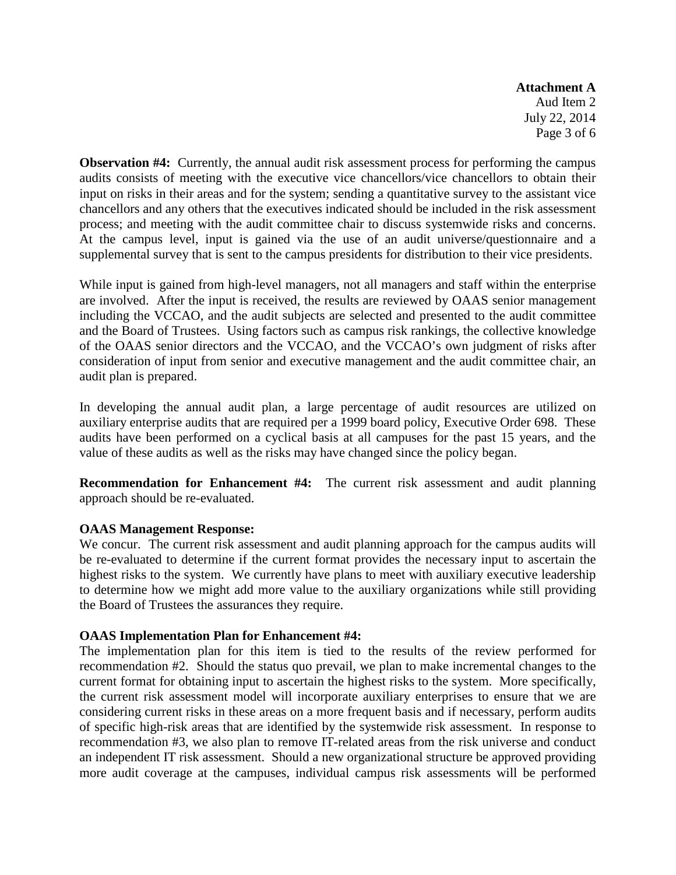**Attachment A** Aud Item 2 July 22, 2014 Page 3 of 6

**Observation #4:** Currently, the annual audit risk assessment process for performing the campus audits consists of meeting with the executive vice chancellors/vice chancellors to obtain their input on risks in their areas and for the system; sending a quantitative survey to the assistant vice chancellors and any others that the executives indicated should be included in the risk assessment process; and meeting with the audit committee chair to discuss systemwide risks and concerns. At the campus level, input is gained via the use of an audit universe/questionnaire and a supplemental survey that is sent to the campus presidents for distribution to their vice presidents.

While input is gained from high-level managers, not all managers and staff within the enterprise are involved. After the input is received, the results are reviewed by OAAS senior management including the VCCAO, and the audit subjects are selected and presented to the audit committee and the Board of Trustees. Using factors such as campus risk rankings, the collective knowledge of the OAAS senior directors and the VCCAO, and the VCCAO's own judgment of risks after consideration of input from senior and executive management and the audit committee chair, an audit plan is prepared.

In developing the annual audit plan, a large percentage of audit resources are utilized on auxiliary enterprise audits that are required per a 1999 board policy, Executive Order 698. These audits have been performed on a cyclical basis at all campuses for the past 15 years, and the value of these audits as well as the risks may have changed since the policy began.

**Recommendation for Enhancement #4:** The current risk assessment and audit planning approach should be re-evaluated.

# **OAAS Management Response:**

We concur. The current risk assessment and audit planning approach for the campus audits will be re-evaluated to determine if the current format provides the necessary input to ascertain the highest risks to the system. We currently have plans to meet with auxiliary executive leadership to determine how we might add more value to the auxiliary organizations while still providing the Board of Trustees the assurances they require.

# **OAAS Implementation Plan for Enhancement #4:**

The implementation plan for this item is tied to the results of the review performed for recommendation #2. Should the status quo prevail, we plan to make incremental changes to the current format for obtaining input to ascertain the highest risks to the system. More specifically, the current risk assessment model will incorporate auxiliary enterprises to ensure that we are considering current risks in these areas on a more frequent basis and if necessary, perform audits of specific high-risk areas that are identified by the systemwide risk assessment. In response to recommendation #3, we also plan to remove IT-related areas from the risk universe and conduct an independent IT risk assessment. Should a new organizational structure be approved providing more audit coverage at the campuses, individual campus risk assessments will be performed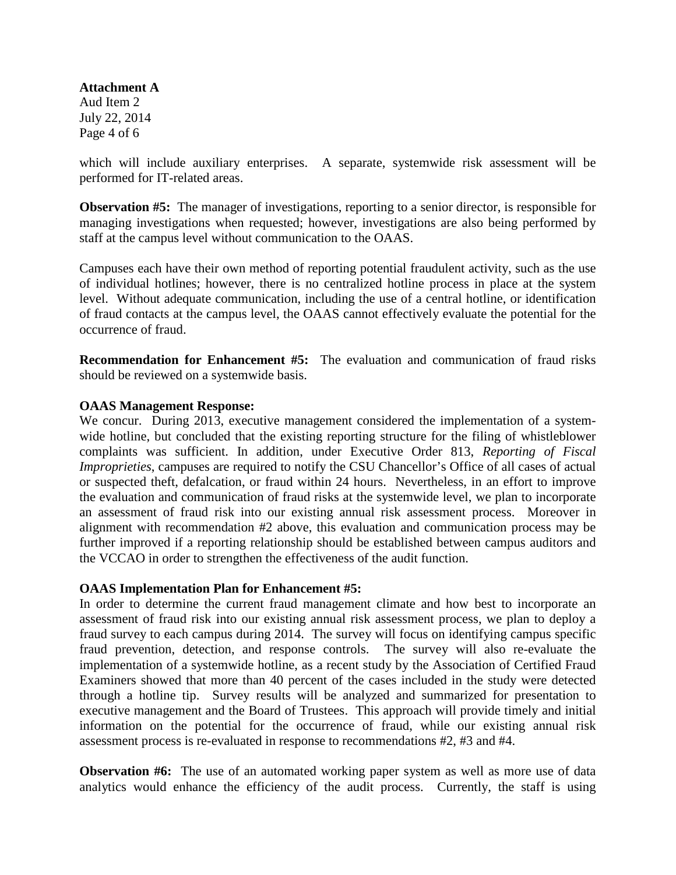**Attachment A** Aud Item 2 July 22, 2014

Page 4 of 6

which will include auxiliary enterprises. A separate, systemwide risk assessment will be performed for IT-related areas.

**Observation #5:** The manager of investigations, reporting to a senior director, is responsible for managing investigations when requested; however, investigations are also being performed by staff at the campus level without communication to the OAAS.

Campuses each have their own method of reporting potential fraudulent activity, such as the use of individual hotlines; however, there is no centralized hotline process in place at the system level. Without adequate communication, including the use of a central hotline, or identification of fraud contacts at the campus level, the OAAS cannot effectively evaluate the potential for the occurrence of fraud.

**Recommendation for Enhancement #5:** The evaluation and communication of fraud risks should be reviewed on a systemwide basis.

#### **OAAS Management Response:**

We concur. During 2013, executive management considered the implementation of a systemwide hotline, but concluded that the existing reporting structure for the filing of whistleblower complaints was sufficient. In addition, under Executive Order 813, *Reporting of Fiscal Improprieties*, campuses are required to notify the CSU Chancellor's Office of all cases of actual or suspected theft, defalcation, or fraud within 24 hours. Nevertheless, in an effort to improve the evaluation and communication of fraud risks at the systemwide level, we plan to incorporate an assessment of fraud risk into our existing annual risk assessment process. Moreover in alignment with recommendation #2 above, this evaluation and communication process may be further improved if a reporting relationship should be established between campus auditors and the VCCAO in order to strengthen the effectiveness of the audit function.

# **OAAS Implementation Plan for Enhancement #5:**

In order to determine the current fraud management climate and how best to incorporate an assessment of fraud risk into our existing annual risk assessment process, we plan to deploy a fraud survey to each campus during 2014. The survey will focus on identifying campus specific fraud prevention, detection, and response controls. The survey will also re-evaluate the implementation of a systemwide hotline, as a recent study by the Association of Certified Fraud Examiners showed that more than 40 percent of the cases included in the study were detected through a hotline tip. Survey results will be analyzed and summarized for presentation to executive management and the Board of Trustees. This approach will provide timely and initial information on the potential for the occurrence of fraud, while our existing annual risk assessment process is re-evaluated in response to recommendations #2, #3 and #4.

**Observation #6:** The use of an automated working paper system as well as more use of data analytics would enhance the efficiency of the audit process. Currently, the staff is using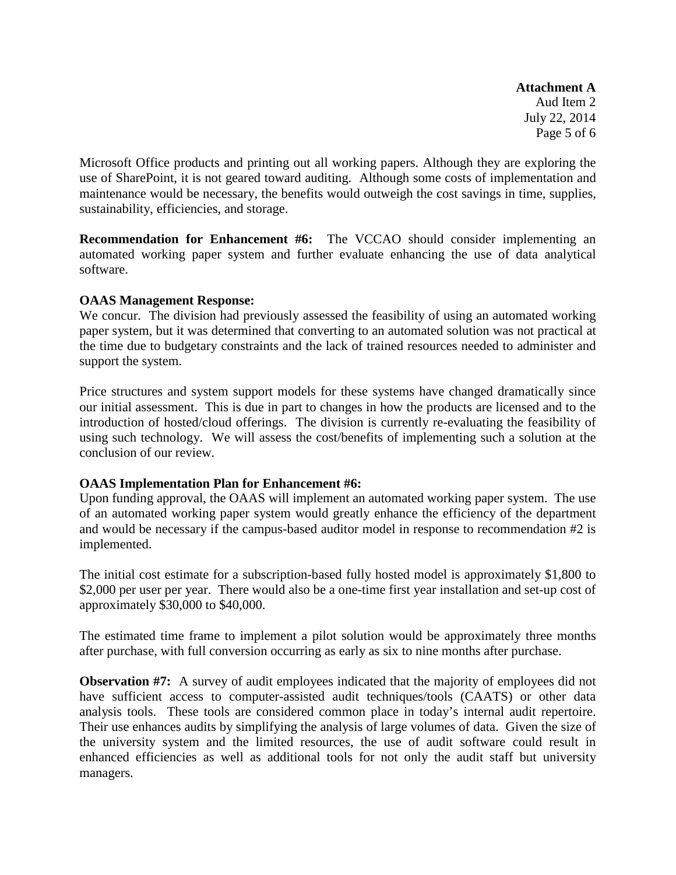**Attachment A** Aud Item 2 July 22, 2014 Page 5 of 6

Microsoft Office products and printing out all working papers. Although they are exploring the use of SharePoint, it is not geared toward auditing. Although some costs of implementation and maintenance would be necessary, the benefits would outweigh the cost savings in time, supplies, sustainability, efficiencies, and storage.

**Recommendation for Enhancement #6:** The VCCAO should consider implementing an automated working paper system and further evaluate enhancing the use of data analytical software.

# **OAAS Management Response:**

We concur. The division had previously assessed the feasibility of using an automated working paper system, but it was determined that converting to an automated solution was not practical at the time due to budgetary constraints and the lack of trained resources needed to administer and support the system.

Price structures and system support models for these systems have changed dramatically since our initial assessment. This is due in part to changes in how the products are licensed and to the introduction of hosted/cloud offerings. The division is currently re-evaluating the feasibility of using such technology. We will assess the cost/benefits of implementing such a solution at the conclusion of our review.

# **OAAS Implementation Plan for Enhancement #6:**

Upon funding approval, the OAAS will implement an automated working paper system. The use of an automated working paper system would greatly enhance the efficiency of the department and would be necessary if the campus-based auditor model in response to recommendation #2 is implemented.

The initial cost estimate for a subscription-based fully hosted model is approximately \$1,800 to \$2,000 per user per year. There would also be a one-time first year installation and set-up cost of approximately \$30,000 to \$40,000.

The estimated time frame to implement a pilot solution would be approximately three months after purchase, with full conversion occurring as early as six to nine months after purchase.

**Observation #7:** A survey of audit employees indicated that the majority of employees did not have sufficient access to computer-assisted audit techniques/tools (CAATS) or other data analysis tools. These tools are considered common place in today's internal audit repertoire. Their use enhances audits by simplifying the analysis of large volumes of data. Given the size of the university system and the limited resources, the use of audit software could result in enhanced efficiencies as well as additional tools for not only the audit staff but university managers.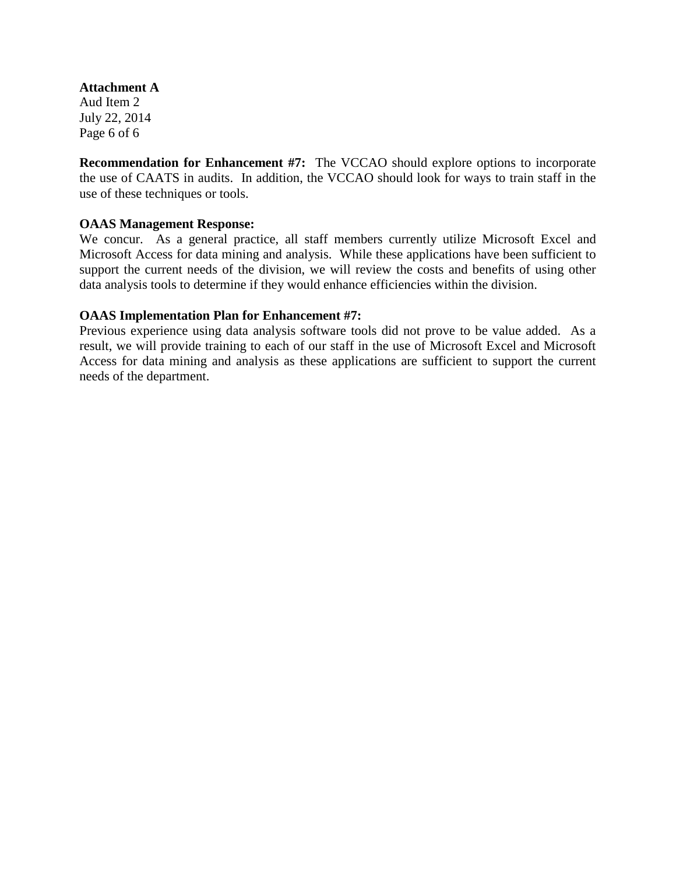**Attachment A** Aud Item 2 July 22, 2014 Page 6 of 6

**Recommendation for Enhancement #7:** The VCCAO should explore options to incorporate the use of CAATS in audits. In addition, the VCCAO should look for ways to train staff in the use of these techniques or tools.

#### **OAAS Management Response:**

We concur. As a general practice, all staff members currently utilize Microsoft Excel and Microsoft Access for data mining and analysis. While these applications have been sufficient to support the current needs of the division, we will review the costs and benefits of using other data analysis tools to determine if they would enhance efficiencies within the division.

#### **OAAS Implementation Plan for Enhancement #7:**

Previous experience using data analysis software tools did not prove to be value added. As a result, we will provide training to each of our staff in the use of Microsoft Excel and Microsoft Access for data mining and analysis as these applications are sufficient to support the current needs of the department.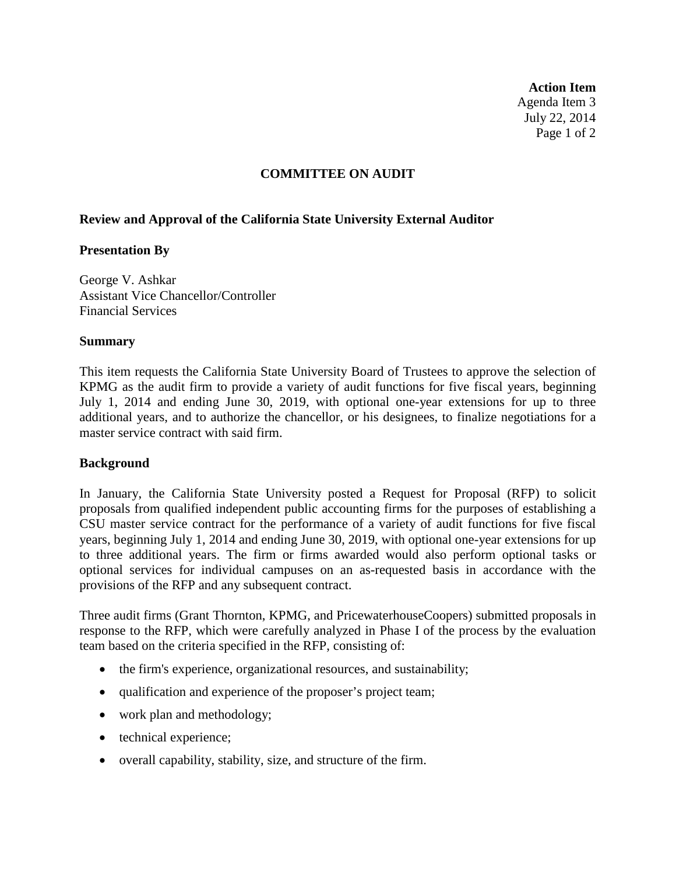**Action Item** Agenda Item 3 July 22, 2014 Page 1 of 2

#### **COMMITTEE ON AUDIT**

# **Review and Approval of the California State University External Auditor**

#### **Presentation By**

George V. Ashkar Assistant Vice Chancellor/Controller Financial Services

#### **Summary**

This item requests the California State University Board of Trustees to approve the selection of KPMG as the audit firm to provide a variety of audit functions for five fiscal years, beginning July 1, 2014 and ending June 30, 2019, with optional one-year extensions for up to three additional years, and to authorize the chancellor, or his designees, to finalize negotiations for a master service contract with said firm.

# **Background**

In January, the California State University posted a Request for Proposal (RFP) to solicit proposals from qualified independent public accounting firms for the purposes of establishing a CSU master service contract for the performance of a variety of audit functions for five fiscal years, beginning July 1, 2014 and ending June 30, 2019, with optional one-year extensions for up to three additional years. The firm or firms awarded would also perform optional tasks or optional services for individual campuses on an as-requested basis in accordance with the provisions of the RFP and any subsequent contract.

Three audit firms (Grant Thornton, KPMG, and PricewaterhouseCoopers) submitted proposals in response to the RFP, which were carefully analyzed in Phase I of the process by the evaluation team based on the criteria specified in the RFP, consisting of:

- the firm's experience, organizational resources, and sustainability;
- qualification and experience of the proposer's project team;
- work plan and methodology;
- technical experience;
- overall capability, stability, size, and structure of the firm.